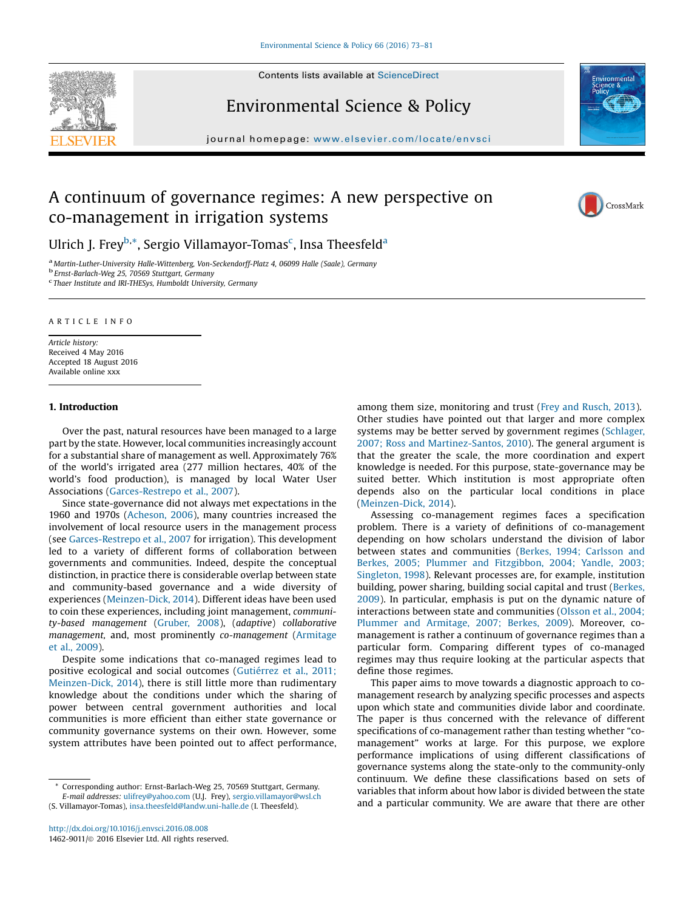

## Environmental Science & Policy



journal homepage: <www.elsevier.com/locate/envsci>

# A continuum of governance regimes: A new perspective on co-management in irrigation systems



Ulrich J. Frey<sup>b,</sup>\*, Sergio Villamayor-Tomas<sup>c</sup>, Insa Theesfeld<sup>a</sup>

<sup>a</sup> Martin-Luther-University Halle-Wittenberg, Von-Seckendorff-Platz 4, 06099 Halle (Saale), Germany b Ernst-Barlach-Weg 25, 70569 Stuttgart, Germany Thaer Institute and IRI-THESys, Humboldt University, Germany

A R T I C L E I N F O

Article history: Received 4 May 2016 Accepted 18 August 2016 Available online xxx

## 1. Introduction

Over the past, natural resources have been managed to a large part by the state. However, local communities increasingly account for a substantial share of management as well. Approximately 76% of the world's irrigated area (277 million hectares, 40% of the world's food production), is managed by local Water User Associations ([Garces-Restrepo](#page-7-0) et al., 2007).

Since state-governance did not always met expectations in the 1960 and 1970s [\(Acheson,](#page-7-0) 2006), many countries increased the involvement of local resource users in the management process (see [Garces-Restrepo](#page-7-0) et al., 2007 for irrigation). This development led to a variety of different forms of collaboration between governments and communities. Indeed, despite the conceptual distinction, in practice there is considerable overlap between state and community-based governance and a wide diversity of experiences [\(Meinzen-Dick,](#page-7-0) 2014). Different ideas have been used to coin these experiences, including joint management, community-based management [\(Gruber,](#page-7-0) 2008), (adaptive) collaborative management, and, most prominently co-management [\(Armitage](#page-7-0) et al., [2009\)](#page-7-0).

Despite some indications that co-managed regimes lead to positive ecological and social outcomes ([Gutiérrez](#page-7-0) et al., 2011; [Meinzen-Dick,](#page-7-0) 2014), there is still little more than rudimentary knowledge about the conditions under which the sharing of power between central government authorities and local communities is more efficient than either state governance or community governance systems on their own. However, some system attributes have been pointed out to affect performance,

among them size, monitoring and trust (Frey and [Rusch,](#page-7-0) 2013). Other studies have pointed out that larger and more complex systems may be better served by government regimes [\(Schlager,](#page-8-0) 2007; Ross and [Martinez-Santos,](#page-8-0) 2010). The general argument is that the greater the scale, the more coordination and expert knowledge is needed. For this purpose, state-governance may be suited better. Which institution is most appropriate often depends also on the particular local conditions in place ([Meinzen-Dick,](#page-7-0) 2014).

Assessing co-management regimes faces a specification problem. There is a variety of definitions of co-management depending on how scholars understand the division of labor between states and communities (Berkes, 1994; [Carlsson](#page-7-0) and Berkes, 2005; Plummer and [Fitzgibbon,](#page-7-0) 2004; Yandle, 2003; [Singleton,](#page-7-0) 1998). Relevant processes are, for example, institution building, power sharing, building social capital and trust ([Berkes,](#page-7-0) [2009](#page-7-0)). In particular, emphasis is put on the dynamic nature of interactions between state and communities ([Olsson](#page-7-0) et al., 2004; Plummer and [Armitage,](#page-7-0) 2007; Berkes, 2009). Moreover, comanagement is rather a continuum of governance regimes than a particular form. Comparing different types of co-managed regimes may thus require looking at the particular aspects that define those regimes.

This paper aims to move towards a diagnostic approach to comanagement research by analyzing specific processes and aspects upon which state and communities divide labor and coordinate. The paper is thus concerned with the relevance of different specifications of co-management rather than testing whether "comanagement" works at large. For this purpose, we explore performance implications of using different classifications of governance systems along the state-only to the community-only continuum. We define these classifications based on sets of variables that inform about how labor is divided between the state and a particular community. We are aware that there are other

Corresponding author: Ernst-Barlach-Weg 25, 70569 Stuttgart, Germany. E-mail addresses: [ulifrey@yahoo.com](mailto:ulifrey@yahoo.com) (U.J. Frey), [sergio.villamayor@wsl.ch](mailto:sergio.villamayor@wsl.ch)

<sup>(</sup>S. Villamayor-Tomas), [insa.theesfeld@landw.uni-halle.de](mailto:insa.theesfeld@landw.uni-halle.de) (I. Theesfeld).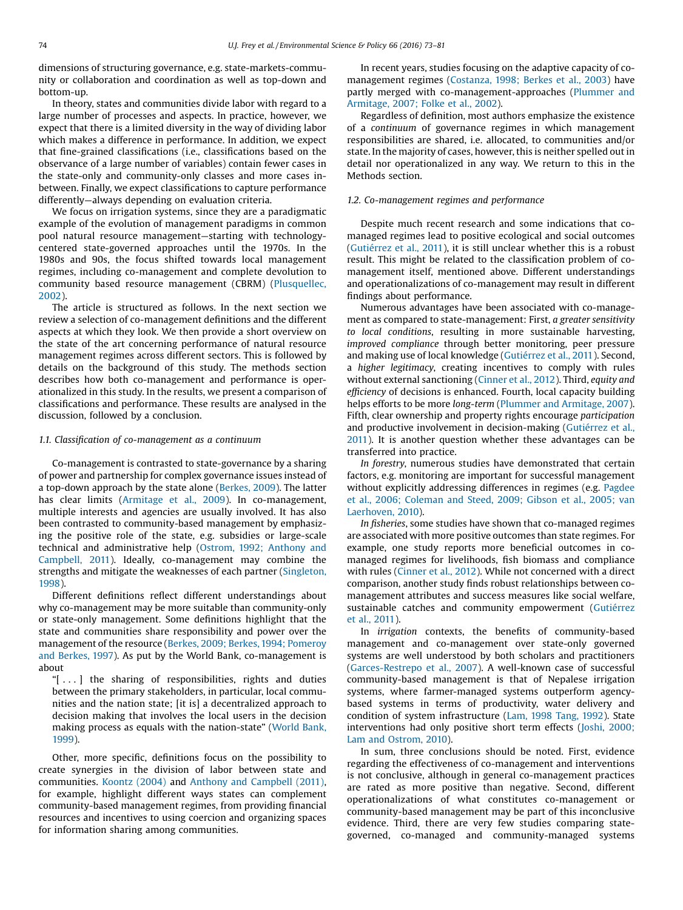dimensions of structuring governance, e.g. state-markets-community or collaboration and coordination as well as top-down and bottom-up.

In theory, states and communities divide labor with regard to a large number of processes and aspects. In practice, however, we expect that there is a limited diversity in the way of dividing labor which makes a difference in performance. In addition, we expect that fine-grained classifications (i.e., classifications based on the observance of a large number of variables) contain fewer cases in the state-only and community-only classes and more cases inbetween. Finally, we expect classifications to capture performance differently—always depending on evaluation criteria.

We focus on irrigation systems, since they are a paradigmatic example of the evolution of management paradigms in common pool natural resource management—starting with technologycentered state-governed approaches until the 1970s. In the 1980s and 90s, the focus shifted towards local management regimes, including co-management and complete devolution to community based resource management (CBRM) ([Plusquellec,](#page-7-0) [2002](#page-7-0)).

The article is structured as follows. In the next section we review a selection of co-management definitions and the different aspects at which they look. We then provide a short overview on the state of the art concerning performance of natural resource management regimes across different sectors. This is followed by details on the background of this study. The methods section describes how both co-management and performance is operationalized in this study. In the results, we present a comparison of classifications and performance. These results are analysed in the discussion, followed by a conclusion.

#### 1.1. Classification of co-management as a continuum

Co-management is contrasted to state-governance by a sharing of power and partnership for complex governance issues instead of a top-down approach by the state alone [\(Berkes,](#page-7-0) 2009). The latter has clear limits ([Armitage](#page-7-0) et al., 2009). In co-management, multiple interests and agencies are usually involved. It has also been contrasted to community-based management by emphasizing the positive role of the state, e.g. subsidies or large-scale technical and administrative help (Ostrom, 1992; [Anthony](#page-7-0) and [Campbell,](#page-7-0) 2011). Ideally, co-management may combine the strengths and mitigate the weaknesses of each partner ([Singleton,](#page-8-0) [1998](#page-8-0)).

Different definitions reflect different understandings about why co-management may be more suitable than community-only or state-only management. Some definitions highlight that the state and communities share responsibility and power over the management of the resource (Berkes, 2009; [Berkes,1994;](#page-7-0) Pomeroy and [Berkes,](#page-7-0) 1997). As put by the World Bank, co-management is about

"[ . . . ] the sharing of responsibilities, rights and duties between the primary stakeholders, in particular, local communities and the nation state; [it is] a decentralized approach to decision making that involves the local users in the decision making process as equals with the nation-state" [\(World](#page-8-0) Bank, [1999](#page-8-0)).

Other, more specific, definitions focus on the possibility to create synergies in the division of labor between state and communities. [Koontz](#page-7-0) (2004) and Anthony and [Campbell](#page-7-0) (2011), for example, highlight different ways states can complement community-based management regimes, from providing financial resources and incentives to using coercion and organizing spaces for information sharing among communities.

In recent years, studies focusing on the adaptive capacity of comanagement regimes ([Costanza,](#page-7-0) 1998; Berkes et al., 2003) have partly merged with co-management-approaches [\(Plummer](#page-7-0) and [Armitage,](#page-7-0) 2007; Folke et al., 2002).

Regardless of definition, most authors emphasize the existence of a continuum of governance regimes in which management responsibilities are shared, i.e. allocated, to communities and/or state. In the majority of cases, however, this is neither spelled out in detail nor operationalized in any way. We return to this in the Methods section.

### 1.2. Co-management regimes and performance

Despite much recent research and some indications that comanaged regimes lead to positive ecological and social outcomes ([Gutiérrez](#page-7-0) et al., 2011), it is still unclear whether this is a robust result. This might be related to the classification problem of comanagement itself, mentioned above. Different understandings and operationalizations of co-management may result in different findings about performance.

Numerous advantages have been associated with co-management as compared to state-management: First, a greater sensitivity to local conditions, resulting in more sustainable harvesting, improved compliance through better monitoring, peer pressure and making use of local knowledge ([Gutiérrez](#page-7-0) et al., 2011). Second, a higher legitimacy, creating incentives to comply with rules without external sanctioning [\(Cinner](#page-7-0) et al., 2012). Third, equity and efficiency of decisions is enhanced. Fourth, local capacity building helps efforts to be more long-term (Plummer and [Armitage,](#page-7-0) 2007). Fifth, clear ownership and property rights encourage participation and productive involvement in decision-making [\(Gutiérrez](#page-7-0) et al., [2011\)](#page-7-0). It is another question whether these advantages can be transferred into practice.

In forestry, numerous studies have demonstrated that certain factors, e.g. monitoring are important for successful management without explicitly addressing differences in regimes (e.g. [Pagdee](#page-7-0) et al., 2006; [Coleman](#page-7-0) and Steed, 2009; Gibson et al., 2005; van [Laerhoven,](#page-7-0) 2010).

In fisheries, some studies have shown that co-managed regimes are associated with more positive outcomes than state regimes. For example, one study reports more beneficial outcomes in comanaged regimes for livelihoods, fish biomass and compliance with rules ([Cinner](#page-7-0) et al., 2012). While not concerned with a direct comparison, another study finds robust relationships between comanagement attributes and success measures like social welfare, sustainable catches and community empowerment ([Gutiérrez](#page-7-0) et al., [2011](#page-7-0)).

In irrigation contexts, the benefits of community-based management and co-management over state-only governed systems are well understood by both scholars and practitioners ([Garces-Restrepo](#page-7-0) et al., 2007). A well-known case of successful community-based management is that of Nepalese irrigation systems, where farmer-managed systems outperform agencybased systems in terms of productivity, water delivery and condition of system infrastructure (Lam, [1998](#page-7-0) [Tang,](#page-8-0) 1992). State interventions had only positive short term effects (Joshi, [2000;](#page-7-0) Lam and [Ostrom,](#page-7-0) 2010).

In sum, three conclusions should be noted. First, evidence regarding the effectiveness of co-management and interventions is not conclusive, although in general co-management practices are rated as more positive than negative. Second, different operationalizations of what constitutes co-management or community-based management may be part of this inconclusive evidence. Third, there are very few studies comparing stategoverned, co-managed and community-managed systems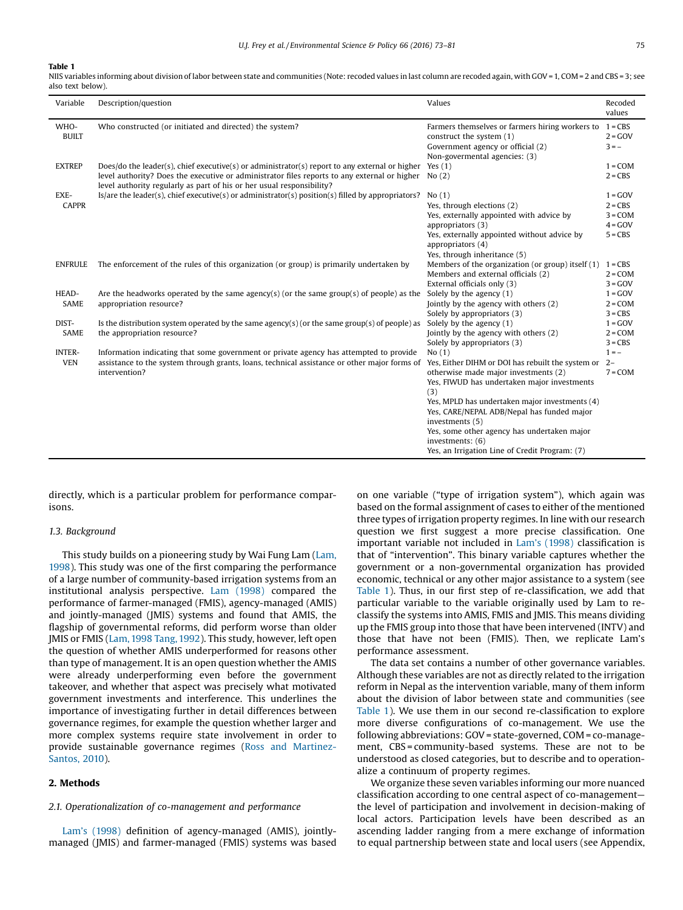#### <span id="page-2-0"></span>Table 1

NIIS variables informing about division of labor between state and communities (Note: recoded values in last column are recoded again, with GOV = 1, COM = 2 and CBS = 3; see also text below).

| Variable       | Description/question                                                                                                                                                               | Values                                                             | Recoded<br>values |
|----------------|------------------------------------------------------------------------------------------------------------------------------------------------------------------------------------|--------------------------------------------------------------------|-------------------|
| WHO-           | Who constructed (or initiated and directed) the system?                                                                                                                            | Farmers themselves or farmers hiring workers to                    | $1 = CBS$         |
| <b>BUILT</b>   |                                                                                                                                                                                    | construct the system (1)                                           | $2 = GOV$         |
|                |                                                                                                                                                                                    | Government agency or official (2)                                  | $3 = -$           |
|                |                                                                                                                                                                                    | Non-govermental agencies: (3)                                      |                   |
| <b>EXTREP</b>  | Does/do the leader(s), chief executive(s) or administrator(s) report to any external or higher Yes $(1)$                                                                           |                                                                    | $1 = COM$         |
|                | level authority? Does the executive or administrator files reports to any external or higher $\pi$ No (2)<br>level authority regularly as part of his or her usual responsibility? |                                                                    | $2 = CBS$         |
| EXE-           | $Is/are$ the leader(s), chief executive(s) or administrator(s) position(s) filled by appropriators?                                                                                | No(1)                                                              | $1 = GOV$         |
| <b>CAPPR</b>   |                                                                                                                                                                                    | Yes, through elections (2)                                         | $2 = CBS$         |
|                |                                                                                                                                                                                    | Yes, externally appointed with advice by                           | $3 = COM$         |
|                |                                                                                                                                                                                    | appropriators (3)                                                  | $4 = GOV$         |
|                |                                                                                                                                                                                    | Yes, externally appointed without advice by<br>appropriators $(4)$ | $5 = CBS$         |
|                |                                                                                                                                                                                    | Yes, through inheritance (5)                                       |                   |
| <b>ENFRULE</b> | The enforcement of the rules of this organization (or group) is primarily undertaken by                                                                                            | Members of the organization (or group) itself (1)                  | $1 = CBS$         |
|                |                                                                                                                                                                                    | Members and external officials (2)                                 | $2 = COM$         |
|                |                                                                                                                                                                                    | External officials only (3)                                        | $3 = GOV$         |
| HEAD-          | Are the headworks operated by the same agency(s) (or the same group(s) of people) as the Solely by the agency (1)<br>appropriation resource?                                       |                                                                    | $1 = GOV$         |
| <b>SAME</b>    |                                                                                                                                                                                    | Jointly by the agency with others (2)                              | $2 = COM$         |
|                |                                                                                                                                                                                    | Solely by appropriators (3)                                        | $3 = CBS$         |
| DIST-          | Is the distribution system operated by the same agency(s) (or the same group(s) of people) as<br>the appropriation resource?                                                       | Solely by the agency (1)                                           | $1 = GOV$         |
| <b>SAME</b>    |                                                                                                                                                                                    | Jointly by the agency with others (2)                              | $2 = COM$         |
|                |                                                                                                                                                                                    | Solely by appropriators (3)                                        | $3 = CBS$         |
| <b>INTER-</b>  | Information indicating that some government or private agency has attempted to provide                                                                                             | No(1)                                                              | $1 = -$           |
| <b>VEN</b>     | assistance to the system through grants, loans, technical assistance or other major forms of Yes, Either DIHM or DOI has rebuilt the system or<br>intervention?                    |                                                                    | $2 -$             |
|                |                                                                                                                                                                                    | otherwise made major investments (2)                               | $7 = COM$         |
|                |                                                                                                                                                                                    | Yes, FIWUD has undertaken major investments<br>(3)                 |                   |
|                |                                                                                                                                                                                    | Yes, MPLD has undertaken major investments (4)                     |                   |
|                |                                                                                                                                                                                    | Yes, CARE/NEPAL ADB/Nepal has funded major                         |                   |
|                |                                                                                                                                                                                    | investments (5)                                                    |                   |
|                |                                                                                                                                                                                    | Yes, some other agency has undertaken major                        |                   |
|                |                                                                                                                                                                                    | investments: (6)                                                   |                   |
|                |                                                                                                                                                                                    | Yes, an Irrigation Line of Credit Program: (7)                     |                   |
|                |                                                                                                                                                                                    |                                                                    |                   |

directly, which is a particular problem for performance comparisons.

#### 1.3. Background

This study builds on a pioneering study by Wai Fung Lam ([Lam,](#page-7-0) [1998](#page-7-0)). This study was one of the first comparing the performance of a large number of community-based irrigation systems from an institutional analysis perspective. Lam [\(1998\)](#page-7-0) compared the performance of farmer-managed (FMIS), agency-managed (AMIS) and jointly-managed (JMIS) systems and found that AMIS, the flagship of governmental reforms, did perform worse than older JMIS or FMIS [\(Lam,1998](#page-7-0) [Tang,1992\)](#page-8-0). This study, however, left open the question of whether AMIS underperformed for reasons other than type of management. It is an open question whether the AMIS were already underperforming even before the government takeover, and whether that aspect was precisely what motivated government investments and interference. This underlines the importance of investigating further in detail differences between governance regimes, for example the question whether larger and more complex systems require state involvement in order to provide sustainable governance regimes (Ross and [Martinez-](#page-7-0)[Santos,](#page-7-0) 2010).

### 2. Methods

#### 2.1. Operationalization of co-management and performance

Lam's [\(1998\)](#page-7-0) definition of agency-managed (AMIS), jointlymanaged (JMIS) and farmer-managed (FMIS) systems was based on one variable ("type of irrigation system"), which again was based on the formal assignment of cases to either of the mentioned three types of irrigation property regimes. In line with our research question we first suggest a more precise classification. One important variable not included in Lam's [\(1998\)](#page-7-0) classification is that of "intervention". This binary variable captures whether the government or a non-governmental organization has provided economic, technical or any other major assistance to a system (see Table 1). Thus, in our first step of re-classification, we add that particular variable to the variable originally used by Lam to reclassify the systems into AMIS, FMIS and JMIS. This means dividing up the FMIS group into those that have been intervened (INTV) and those that have not been (FMIS). Then, we replicate Lam's performance assessment.

The data set contains a number of other governance variables. Although these variables are not as directly related to the irrigation reform in Nepal as the intervention variable, many of them inform about the division of labor between state and communities (see Table 1). We use them in our second re-classification to explore more diverse configurations of co-management. We use the following abbreviations: GOV = state-governed, COM= co-management, CBS = community-based systems. These are not to be understood as closed categories, but to describe and to operationalize a continuum of property regimes.

We organize these seven variables informing our more nuanced classification according to one central aspect of co-management the level of participation and involvement in decision-making of local actors. Participation levels have been described as an ascending ladder ranging from a mere exchange of information to equal partnership between state and local users (see Appendix,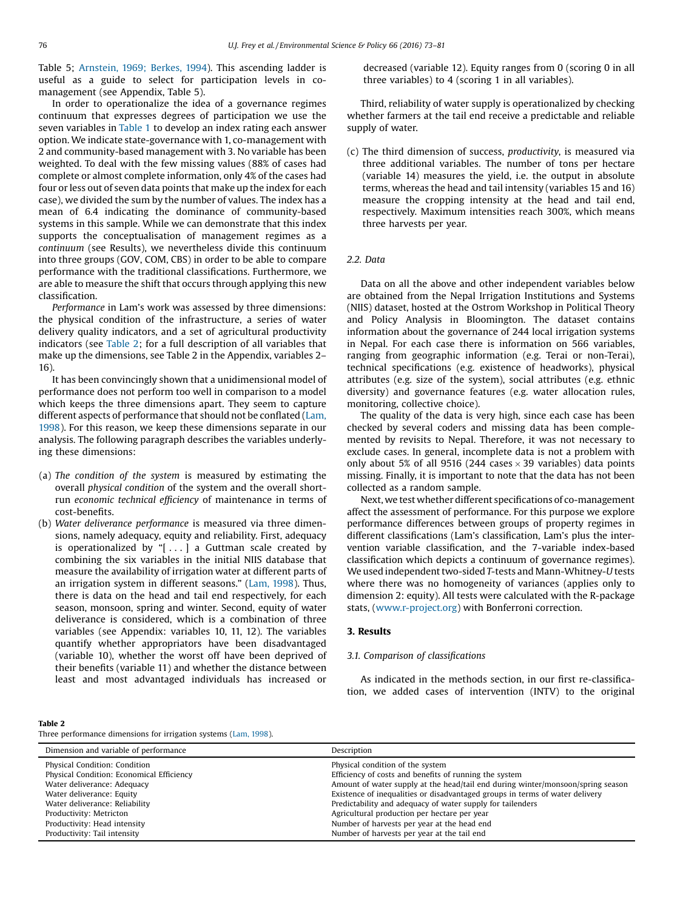Table 5; [Arnstein,](#page-7-0) 1969; Berkes, 1994). This ascending ladder is useful as a guide to select for participation levels in comanagement (see Appendix, Table 5).

In order to operationalize the idea of a governance regimes continuum that expresses degrees of participation we use the seven variables in [Table](#page-2-0) 1 to develop an index rating each answer option. We indicate state-governance with 1, co-management with 2 and community-based management with 3. No variable has been weighted. To deal with the few missing values (88% of cases had complete or almost complete information, only 4% of the cases had four or less out of seven data points that make up the index for each case), we divided the sum by the number of values. The index has a mean of 6.4 indicating the dominance of community-based systems in this sample. While we can demonstrate that this index supports the conceptualisation of management regimes as a continuum (see Results), we nevertheless divide this continuum into three groups (GOV, COM, CBS) in order to be able to compare performance with the traditional classifications. Furthermore, we are able to measure the shift that occurs through applying this new classification.

Performance in Lam's work was assessed by three dimensions: the physical condition of the infrastructure, a series of water delivery quality indicators, and a set of agricultural productivity indicators (see Table 2; for a full description of all variables that make up the dimensions, see Table 2 in the Appendix, variables 2– 16).

It has been convincingly shown that a unidimensional model of performance does not perform too well in comparison to a model which keeps the three dimensions apart. They seem to capture different aspects of performance that should not be conflated ([Lam,](#page-7-0) [1998](#page-7-0)). For this reason, we keep these dimensions separate in our analysis. The following paragraph describes the variables underlying these dimensions:

- (a) The condition of the system is measured by estimating the overall physical condition of the system and the overall shortrun economic technical efficiency of maintenance in terms of cost-benefits.
- (b) Water deliverance performance is measured via three dimensions, namely adequacy, equity and reliability. First, adequacy is operationalized by " $[$ ...] a Guttman scale created by combining the six variables in the initial NIIS database that measure the availability of irrigation water at different parts of an irrigation system in different seasons." (Lam, [1998](#page-7-0)). Thus, there is data on the head and tail end respectively, for each season, monsoon, spring and winter. Second, equity of water deliverance is considered, which is a combination of three variables (see Appendix: variables 10, 11, 12). The variables quantify whether appropriators have been disadvantaged (variable 10), whether the worst off have been deprived of their benefits (variable 11) and whether the distance between least and most advantaged individuals has increased or

decreased (variable 12). Equity ranges from 0 (scoring 0 in all three variables) to 4 (scoring 1 in all variables).

Third, reliability of water supply is operationalized by checking whether farmers at the tail end receive a predictable and reliable supply of water.

(c) The third dimension of success, productivity, is measured via three additional variables. The number of tons per hectare (variable 14) measures the yield, i.e. the output in absolute terms, whereas the head and tail intensity (variables 15 and 16) measure the cropping intensity at the head and tail end, respectively. Maximum intensities reach 300%, which means three harvests per year.

#### 2.2. Data

Data on all the above and other independent variables below are obtained from the Nepal Irrigation Institutions and Systems (NIIS) dataset, hosted at the Ostrom Workshop in Political Theory and Policy Analysis in Bloomington. The dataset contains information about the governance of 244 local irrigation systems in Nepal. For each case there is information on 566 variables, ranging from geographic information (e.g. Terai or non-Terai), technical specifications (e.g. existence of headworks), physical attributes (e.g. size of the system), social attributes (e.g. ethnic diversity) and governance features (e.g. water allocation rules, monitoring, collective choice).

The quality of the data is very high, since each case has been checked by several coders and missing data has been complemented by revisits to Nepal. Therefore, it was not necessary to exclude cases. In general, incomplete data is not a problem with only about 5% of all 9516 (244 cases  $\times$  39 variables) data points missing. Finally, it is important to note that the data has not been collected as a random sample.

Next, we test whether different specifications of co-management affect the assessment of performance. For this purpose we explore performance differences between groups of property regimes in different classifications (Lam's classification, Lam's plus the intervention variable classification, and the 7-variable index-based classification which depicts a continuum of governance regimes). We used independent two-sided T-tests and Mann-Whitney-U tests where there was no homogeneity of variances (applies only to dimension 2: equity). All tests were calculated with the R-package stats, ([www.r-project.org\)](http://www.r-project.org) with Bonferroni correction.

#### 3. Results

#### 3.1. Comparison of classifications

As indicated in the methods section, in our first re-classification, we added cases of intervention (INTV) to the original

#### Table 2

Three performance dimensions for irrigation systems (Lam, [1998](#page-7-0)).

| Dimension and variable of performance     | Description                                                                     |
|-------------------------------------------|---------------------------------------------------------------------------------|
| Physical Condition: Condition             | Physical condition of the system                                                |
| Physical Condition: Economical Efficiency | Efficiency of costs and benefits of running the system                          |
| Water deliverance: Adequacy               | Amount of water supply at the head/tail end during winter/monsoon/spring season |
| Water deliverance: Equity                 | Existence of inequalities or disadvantaged groups in terms of water delivery    |
| Water deliverance: Reliability            | Predictability and adequacy of water supply for tailenders                      |
| Productivity: Metricton                   | Agricultural production per hectare per year                                    |
| Productivity: Head intensity              | Number of harvests per year at the head end                                     |
| Productivity: Tail intensity              | Number of harvests per year at the tail end                                     |
|                                           |                                                                                 |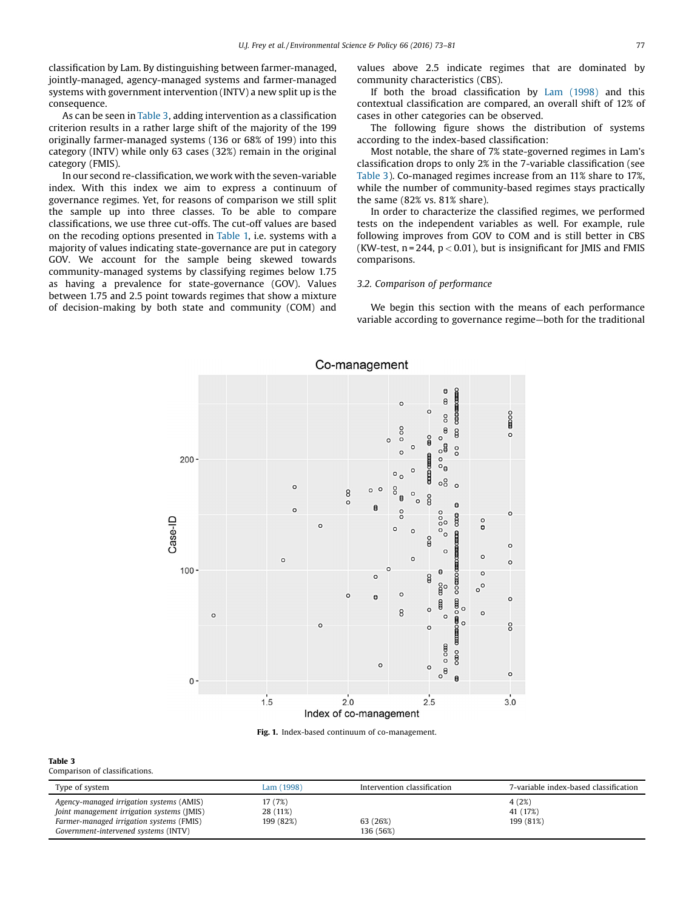<span id="page-4-0"></span>classification by Lam. By distinguishing between farmer-managed, jointly-managed, agency-managed systems and farmer-managed systems with government intervention (INTV) a new split up is the consequence.

As can be seen in Table 3, adding intervention as a classification criterion results in a rather large shift of the majority of the 199 originally farmer-managed systems (136 or 68% of 199) into this category (INTV) while only 63 cases (32%) remain in the original category (FMIS).

In our second re-classification, we work with the seven-variable index. With this index we aim to express a continuum of governance regimes. Yet, for reasons of comparison we still split the sample up into three classes. To be able to compare classifications, we use three cut-offs. The cut-off values are based on the recoding options presented in [Table](#page-2-0) 1, i.e. systems with a majority of values indicating state-governance are put in category GOV. We account for the sample being skewed towards community-managed systems by classifying regimes below 1.75 as having a prevalence for state-governance (GOV). Values between 1.75 and 2.5 point towards regimes that show a mixture of decision-making by both state and community (COM) and values above 2.5 indicate regimes that are dominated by community characteristics (CBS).

If both the broad classification by Lam [\(1998\)](#page-7-0) and this contextual classification are compared, an overall shift of 12% of cases in other categories can be observed.

The following figure shows the distribution of systems according to the index-based classification:

Most notable, the share of 7% state-governed regimes in Lam's classification drops to only 2% in the 7-variable classification (see Table 3). Co-managed regimes increase from an 11% share to 17%, while the number of community-based regimes stays practically the same (82% vs. 81% share).

In order to characterize the classified regimes, we performed tests on the independent variables as well. For example, rule following improves from GOV to COM and is still better in CBS (KW-test,  $n = 244$ ,  $p < 0.01$ ), but is insignificant for JMIS and FMIS comparisons.

#### 3.2. Comparison of performance

We begin this section with the means of each performance variable according to governance regime—both for the traditional



Fig. 1. Index-based continuum of co-management.

#### Table 3

Comparison of classifications.

| Type of system                             | Lam (1998) | Intervention classification | 7-variable index-based classification |
|--------------------------------------------|------------|-----------------------------|---------------------------------------|
| Agency-managed irrigation systems (AMIS)   | 17 (7%)    |                             | 4(2%)                                 |
| Joint management irrigation systems (JMIS) | 28 (11%)   |                             | 41 (17%)                              |
| Farmer-managed irrigation systems (FMIS)   | 199 (82%)  | 63 (26%)                    | 199 (81%)                             |
| Government-intervened systems (INTV)       |            | 136 (56%)                   |                                       |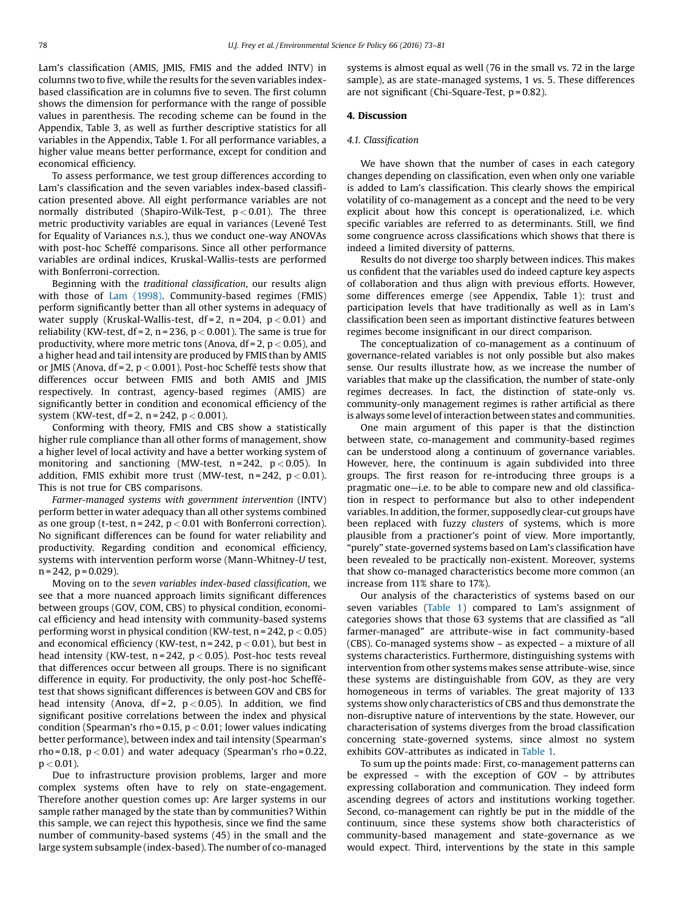Lam's classification (AMIS, JMIS, FMIS and the added INTV) in columns two to five, while the results for the seven variables indexbased classification are in columns five to seven. The first column shows the dimension for performance with the range of possible values in parenthesis. The recoding scheme can be found in the Appendix, Table 3, as well as further descriptive statistics for all variables in the Appendix, Table 1. For all performance variables, a higher value means better performance, except for condition and economical efficiency.

To assess performance, we test group differences according to Lam's classification and the seven variables index-based classification presented above. All eight performance variables are not normally distributed (Shapiro-Wilk-Test,  $p < 0.01$ ). The three metric productivity variables are equal in variances (Levené Test for Equality of Variances n.s.), thus we conduct one-way ANOVAs with post-hoc Scheffé comparisons. Since all other performance variables are ordinal indices, Kruskal-Wallis-tests are performed with Bonferroni-correction.

Beginning with the traditional classification, our results align with those of Lam [\(1998\)](#page-7-0). Community-based regimes (FMIS) perform significantly better than all other systems in adequacy of water supply (Kruskal-Wallis-test,  $df = 2$ ,  $n = 204$ ,  $p < 0.01$ ) and reliability (KW-test, df = 2, n = 236, p < 0.001). The same is true for productivity, where more metric tons (Anova,  $df = 2$ ,  $p < 0.05$ ), and a higher head and tail intensity are produced by FMIS than by AMIS or JMIS (Anova,  $df = 2$ ,  $p < 0.001$ ). Post-hoc Scheffé tests show that differences occur between FMIS and both AMIS and JMIS respectively. In contrast, agency-based regimes (AMIS) are significantly better in condition and economical efficiency of the system (KW-test, df = 2, n = 242,  $p < 0.001$ ).

Conforming with theory, FMIS and CBS show a statistically higher rule compliance than all other forms of management, show a higher level of local activity and have a better working system of monitoring and sanctioning (MW-test,  $n = 242$ ,  $p < 0.05$ ). In addition, FMIS exhibit more trust (MW-test,  $n = 242$ ,  $p < 0.01$ ). This is not true for CBS comparisons.

Farmer-managed systems with government intervention (INTV) perform better in water adequacy than all other systems combined as one group (t-test,  $n = 242$ ,  $p < 0.01$  with Bonferroni correction). No significant differences can be found for water reliability and productivity. Regarding condition and economical efficiency, systems with intervention perform worse (Mann-Whitney-U test,  $n = 242$ ,  $p = 0.029$ ).

Moving on to the seven variables index-based classification, we see that a more nuanced approach limits significant differences between groups (GOV, COM, CBS) to physical condition, economical efficiency and head intensity with community-based systems performing worst in physical condition (KW-test,  $n = 242$ ,  $p < 0.05$ ) and economical efficiency (KW-test,  $n = 242$ ,  $p < 0.01$ ), but best in head intensity (KW-test,  $n = 242$ ,  $p < 0.05$ ). Post-hoc tests reveal that differences occur between all groups. There is no significant difference in equity. For productivity, the only post-hoc Scheffétest that shows significant differences is between GOV and CBS for head intensity (Anova,  $df = 2$ ,  $p < 0.05$ ). In addition, we find significant positive correlations between the index and physical condition (Spearman's rho = 0.15,  $p < 0.01$ ; lower values indicating better performance), between index and tail intensity (Spearman's rho = 0.18,  $p < 0.01$ ) and water adequacy (Spearman's rho = 0.22,  $p < 0.01$ ).

Due to infrastructure provision problems, larger and more complex systems often have to rely on state-engagement. Therefore another question comes up: Are larger systems in our sample rather managed by the state than by communities? Within this sample, we can reject this hypothesis, since we find the same number of community-based systems (45) in the small and the large system subsample (index-based). The number of co-managed systems is almost equal as well (76 in the small vs. 72 in the large sample), as are state-managed systems, 1 vs. 5. These differences are not significant (Chi-Square-Test, p = 0.82).

## 4. Discussion

## 4.1. Classification

We have shown that the number of cases in each category changes depending on classification, even when only one variable is added to Lam's classification. This clearly shows the empirical volatility of co-management as a concept and the need to be very explicit about how this concept is operationalized, i.e. which specific variables are referred to as determinants. Still, we find some congruence across classifications which shows that there is indeed a limited diversity of patterns.

Results do not diverge too sharply between indices. This makes us confident that the variables used do indeed capture key aspects of collaboration and thus align with previous efforts. However, some differences emerge (see Appendix, Table 1): trust and participation levels that have traditionally as well as in Lam's classification been seen as important distinctive features between regimes become insignificant in our direct comparison.

The conceptualization of co-management as a continuum of governance-related variables is not only possible but also makes sense. Our results illustrate how, as we increase the number of variables that make up the classification, the number of state-only regimes decreases. In fact, the distinction of state-only vs. community-only management regimes is rather artificial as there is always some level of interaction between states and communities.

One main argument of this paper is that the distinction between state, co-management and community-based regimes can be understood along a continuum of governance variables. However, here, the continuum is again subdivided into three groups. The first reason for re-introducing three groups is a pragmatic one—i.e. to be able to compare new and old classification in respect to performance but also to other independent variables. In addition, the former, supposedly clear-cut groups have been replaced with fuzzy clusters of systems, which is more plausible from a practioner's point of view. More importantly, "purely" state-governed systems based on Lam's classification have been revealed to be practically non-existent. Moreover, systems that show co-managed characteristics become more common (an increase from 11% share to 17%).

Our analysis of the characteristics of systems based on our seven variables ([Table](#page-2-0) 1) compared to Lam's assignment of categories shows that those 63 systems that are classified as "all farmer-managed" are attribute-wise in fact community-based (CBS). Co-managed systems show – as expected – a mixture of all systems characteristics. Furthermore, distinguishing systems with intervention from other systems makes sense attribute-wise, since these systems are distinguishable from GOV, as they are very homogeneous in terms of variables. The great majority of 133 systems show only characteristics of CBS and thus demonstrate the non-disruptive nature of interventions by the state. However, our characterisation of systems diverges from the broad classification concerning state-governed systems, since almost no system exhibits GOV-attributes as indicated in [Table](#page-2-0) 1.

To sum up the points made: First, co-management patterns can be expressed – with the exception of GOV – by attributes expressing collaboration and communication. They indeed form ascending degrees of actors and institutions working together. Second, co-management can rightly be put in the middle of the continuum, since these systems show both characteristics of community-based management and state-governance as we would expect. Third, interventions by the state in this sample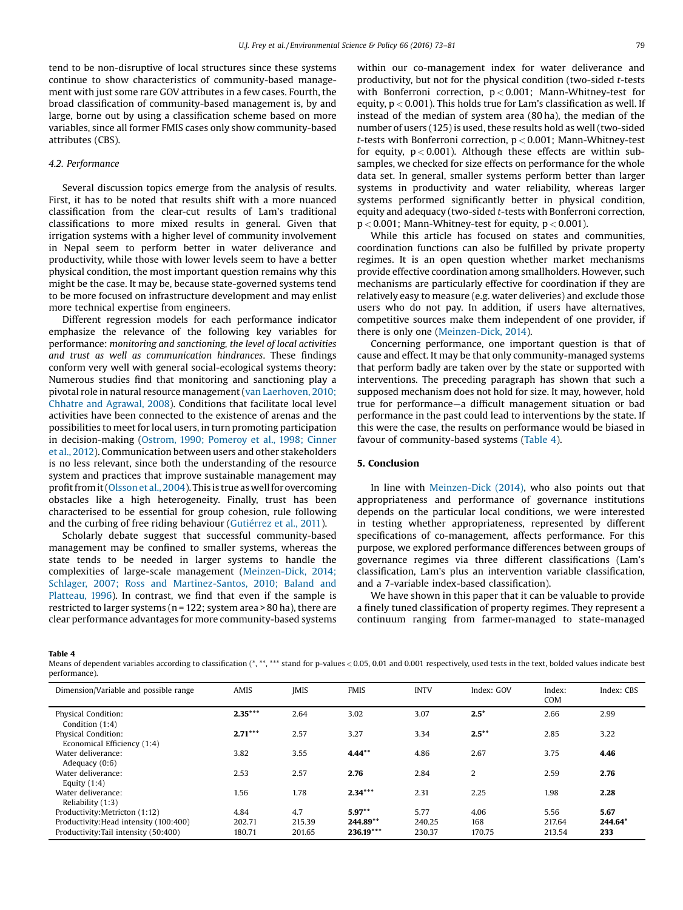tend to be non-disruptive of local structures since these systems continue to show characteristics of community-based management with just some rare GOV attributes in a few cases. Fourth, the broad classification of community-based management is, by and large, borne out by using a classification scheme based on more variables, since all former FMIS cases only show community-based attributes (CBS).

#### 4.2. Performance

Several discussion topics emerge from the analysis of results. First, it has to be noted that results shift with a more nuanced classification from the clear-cut results of Lam's traditional classifications to more mixed results in general. Given that irrigation systems with a higher level of community involvement in Nepal seem to perform better in water deliverance and productivity, while those with lower levels seem to have a better physical condition, the most important question remains why this might be the case. It may be, because state-governed systems tend to be more focused on infrastructure development and may enlist more technical expertise from engineers.

Different regression models for each performance indicator emphasize the relevance of the following key variables for performance: monitoring and sanctioning, the level of local activities and trust as well as communication hindrances. These findings conform very well with general social-ecological systems theory: Numerous studies find that monitoring and sanctioning play a pivotal role in natural resource management(van [Laerhoven,](#page-8-0) 2010; Chhatre and [Agrawal,](#page-8-0) 2008). Conditions that facilitate local level activities have been connected to the existence of arenas and the possibilities to meet for local users, in turn promoting participation in decision-making (Ostrom, 1990; [Pomeroy](#page-7-0) et al., 1998; Cinner et al., [2012](#page-7-0)). Communication between users and other stakeholders is no less relevant, since both the understanding of the resource system and practices that improve sustainable management may profit from it (Olsson et al., 2004). This is true as well for overcoming obstacles like a high heterogeneity. Finally, trust has been characterised to be essential for group cohesion, rule following and the curbing of free riding behaviour [\(Gutiérrez](#page-7-0) et al., 2011).

Scholarly debate suggest that successful community-based management may be confined to smaller systems, whereas the state tends to be needed in larger systems to handle the complexities of large-scale management [\(Meinzen-Dick,](#page-7-0) 2014; Schlager, 2007; Ross and [Martinez-Santos,](#page-7-0) 2010; Baland and [Platteau,](#page-7-0) 1996). In contrast, we find that even if the sample is restricted to larger systems (n = 122; system area > 80 ha), there are clear performance advantages for more community-based systems within our co-management index for water deliverance and productivity, but not for the physical condition (two-sided t-tests with Bonferroni correction, p < 0.001; Mann-Whitney-test for equity,  $p < 0.001$ ). This holds true for Lam's classification as well. If instead of the median of system area (80 ha), the median of the number of users (125) is used, these results hold as well (two-sided t-tests with Bonferroni correction,  $p < 0.001$ ; Mann-Whitney-test for equity,  $p < 0.001$ ). Although these effects are within subsamples, we checked for size effects on performance for the whole data set. In general, smaller systems perform better than larger systems in productivity and water reliability, whereas larger systems performed significantly better in physical condition, equity and adequacy (two-sided t-tests with Bonferroni correction,  $p < 0.001$ ; Mann-Whitney-test for equity,  $p < 0.001$ ).

While this article has focused on states and communities, coordination functions can also be fulfilled by private property regimes. It is an open question whether market mechanisms provide effective coordination among smallholders. However, such mechanisms are particularly effective for coordination if they are relatively easy to measure (e.g. water deliveries) and exclude those users who do not pay. In addition, if users have alternatives, competitive sources make them independent of one provider, if there is only one ([Meinzen-Dick,](#page-7-0) 2014).

Concerning performance, one important question is that of cause and effect. It may be that only community-managed systems that perform badly are taken over by the state or supported with interventions. The preceding paragraph has shown that such a supposed mechanism does not hold for size. It may, however, hold true for performance—a difficult management situation or bad performance in the past could lead to interventions by the state. If this were the case, the results on performance would be biased in favour of community-based systems (Table 4).

## 5. Conclusion

In line with [Meinzen-Dick](#page-7-0) (2014), who also points out that appropriateness and performance of governance institutions depends on the particular local conditions, we were interested in testing whether appropriateness, represented by different specifications of co-management, affects performance. For this purpose, we explored performance differences between groups of governance regimes via three different classifications (Lam's classification, Lam's plus an intervention variable classification, and a 7-variable index-based classification).

We have shown in this paper that it can be valuable to provide a finely tuned classification of property regimes. They represent a continuum ranging from farmer-managed to state-managed

Table 4

Means of dependent variables according to classification (\*, \*\*, \*\*\*\* stand for p-values < 0.05, 0.01 and 0.001 respectively, used tests in the text, bolded values indicate best performance).

| Dimension/Variable and possible range  | AMIS      | <b>IMIS</b> | <b>FMIS</b> | <b>INTV</b> | Index: GOV | Index:<br>COM | Index: CBS |
|----------------------------------------|-----------|-------------|-------------|-------------|------------|---------------|------------|
| <b>Physical Condition:</b>             | $2.35***$ | 2.64        | 3.02        | 3.07        | $2.5*$     | 2.66          | 2.99       |
| Condition $(1:4)$                      |           |             |             |             |            |               |            |
| <b>Physical Condition:</b>             | $2.71***$ | 2.57        | 3.27        | 3.34        | $2.5***$   | 2.85          | 3.22       |
| Economical Efficiency (1:4)            |           |             |             |             |            |               |            |
| Water deliverance:                     | 3.82      | 3.55        | $4.44***$   | 4.86        | 2.67       | 3.75          | 4.46       |
| Adequacy $(0:6)$                       |           |             |             |             |            |               |            |
| Water deliverance:                     | 2.53      | 2.57        | 2.76        | 2.84        | 2          | 2.59          | 2.76       |
| Equity $(1:4)$                         |           |             |             |             |            |               |            |
| Water deliverance:                     | 1.56      | 1.78        | $2.34***$   | 2.31        | 2.25       | 1.98          | 2.28       |
| Reliability (1:3)                      |           |             |             |             |            |               |            |
| Productivity: Metricton (1:12)         | 4.84      | 4.7         | $5.97**$    | 5.77        | 4.06       | 5.56          | 5.67       |
| Productivity: Head intensity (100:400) | 202.71    | 215.39      | $244.89**$  | 240.25      | 168        | 217.64        | 244.64*    |
| Productivity: Tail intensity (50:400)  | 180.71    | 201.65      | 236.19***   | 230.37      | 170.75     | 213.54        | 233        |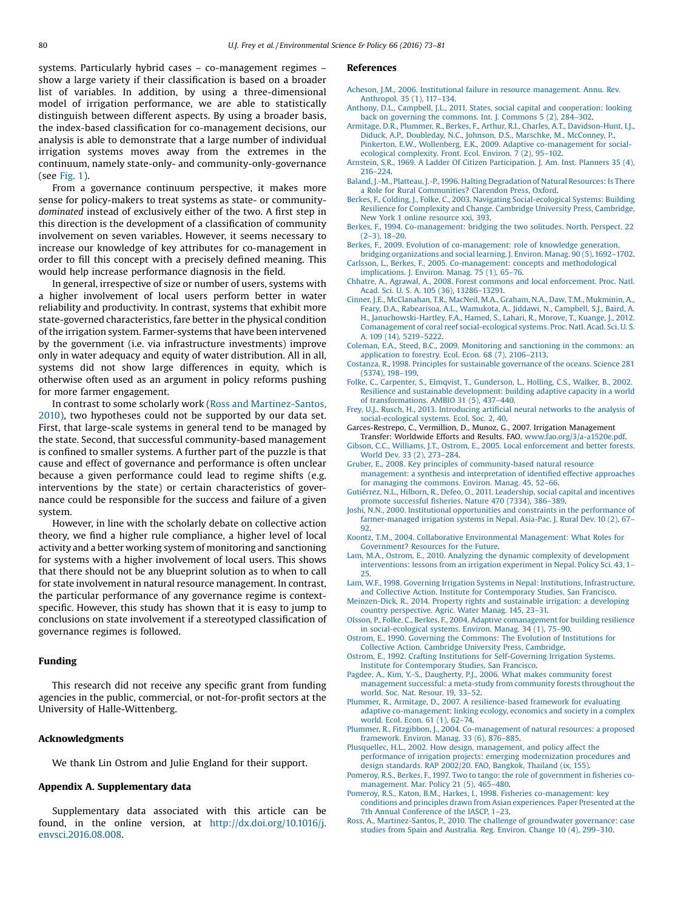<span id="page-7-0"></span>systems. Particularly hybrid cases – co-management regimes – show a large variety if their classification is based on a broader list of variables. In addition, by using a three-dimensional model of irrigation performance, we are able to statistically distinguish between different aspects. By using a broader basis, the index-based classification for co-management decisions, our analysis is able to demonstrate that a large number of individual irrigation systems moves away from the extremes in the continuum, namely state-only- and community-only-governance (see [Fig.](#page-4-0) 1).

From a governance continuum perspective, it makes more sense for policy-makers to treat systems as state- or communitydominated instead of exclusively either of the two. A first step in this direction is the development of a classification of community involvement on seven variables. However, it seems necessary to increase our knowledge of key attributes for co-management in order to fill this concept with a precisely defined meaning. This would help increase performance diagnosis in the field.

In general, irrespective of size or number of users, systems with a higher involvement of local users perform better in water reliability and productivity. In contrast, systems that exhibit more state-governed characteristics, fare better in the physical condition of the irrigation system. Farmer-systems that have been intervened by the government (i.e. via infrastructure investments) improve only in water adequacy and equity of water distribution. All in all, systems did not show large differences in equity, which is otherwise often used as an argument in policy reforms pushing for more farmer engagement.

In contrast to some scholarly work (Ross and Martinez-Santos, 2010), two hypotheses could not be supported by our data set. First, that large-scale systems in general tend to be managed by the state. Second, that successful community-based management is confined to smaller systems. A further part of the puzzle is that cause and effect of governance and performance is often unclear because a given performance could lead to regime shifts (e.g. interventions by the state) or certain characteristics of governance could be responsible for the success and failure of a given system.

However, in line with the scholarly debate on collective action theory, we find a higher rule compliance, a higher level of local activity and a better working system of monitoring and sanctioning for systems with a higher involvement of local users. This shows that there should not be any blueprint solution as to when to call for state involvement in natural resource management. In contrast, the particular performance of any governance regime is contextspecific. However, this study has shown that it is easy to jump to conclusions on state involvement if a stereotyped classification of governance regimes is followed.

#### Funding

This research did not receive any specific grant from funding agencies in the public, commercial, or not-for-profit sectors at the University of Halle-Wittenberg.

#### Acknowledgments

We thank Lin Ostrom and Julie England for their support.

#### Appendix A. Supplementary data

Supplementary data associated with this article can be found, in the online version, at [http://dx.doi.org/10.1016/j.](http://dx.doi.org/10.1016/j.envsci.2016.08.008) [envsci.2016.08.008](http://dx.doi.org/10.1016/j.envsci.2016.08.008).

#### **References**

- Acheson, J.M., 2006. Institutional failure in resource [management.](http://refhub.elsevier.com/S1462-9011(16)30129-0/sbref0005) Annu. Rev. [Anthropol.](http://refhub.elsevier.com/S1462-9011(16)30129-0/sbref0005) 35 (1), 117–134.
- Anthony, D.L., Campbell, J.L., 2011. States, social capital and [cooperation:](http://refhub.elsevier.com/S1462-9011(16)30129-0/sbref0010) looking back on governing the [commons.](http://refhub.elsevier.com/S1462-9011(16)30129-0/sbref0010) Int. J. Commons 5 (2), 284–302.
- Armitage, D.R., Plummer, R., Berkes, F., Arthur, R.I., Charles, A.T., [Davidson-Hunt,](http://refhub.elsevier.com/S1462-9011(16)30129-0/sbref0015) I.J., Diduck, A.P., [Doubleday,](http://refhub.elsevier.com/S1462-9011(16)30129-0/sbref0015) N.C., Johnson, D.S., Marschke, M., McConney, P., Pinkerton, E.W., Wollenberg, E.K., 2009. Adaptive [co-management](http://refhub.elsevier.com/S1462-9011(16)30129-0/sbref0015) for socialecological [complexity.](http://refhub.elsevier.com/S1462-9011(16)30129-0/sbref0015) Front. Ecol. Environ. 7 (2), 95-102.
- Arnstein, S.R., 1969. A Ladder Of Citizen [Participation.](http://refhub.elsevier.com/S1462-9011(16)30129-0/sbref0020) J. Am. Inst. Planners 35 (4), 216–[224.](http://refhub.elsevier.com/S1462-9011(16)30129-0/sbref0020)
- Baland, J.-M., Platteau, J.-P., 1996. Halting [Degradation](http://refhub.elsevier.com/S1462-9011(16)30129-0/sbref0025) of Natural Resources: Is There a Role for Rural [Communities?](http://refhub.elsevier.com/S1462-9011(16)30129-0/sbref0025) Clarendon Press, Oxford.
- Berkes, F., Colding, J., Folke, C., 2003. Navigating [Social-ecological](http://refhub.elsevier.com/S1462-9011(16)30129-0/sbref0030) Systems: Building Resilience for [Complexity](http://refhub.elsevier.com/S1462-9011(16)30129-0/sbref0030) and Change. Cambridge University Press, Cambridge, New York 1 online [resource](http://refhub.elsevier.com/S1462-9011(16)30129-0/sbref0030) xxi, 393.
- Berkes, F., 1994. [Co-management:](http://refhub.elsevier.com/S1462-9011(16)30129-0/sbref0035) bridging the two solitudes. North. Perspect. 22 (2–[3\),](http://refhub.elsevier.com/S1462-9011(16)30129-0/sbref0035) 18–20.
- Berkes, F., 2009. Evolution of [co-management:](http://refhub.elsevier.com/S1462-9011(16)30129-0/sbref0040) role of knowledge generation, bridging [organizations](http://refhub.elsevier.com/S1462-9011(16)30129-0/sbref0040) and social learning. J. Environ. Manag. 90 (5), 1692-1702.
- Carlsson, L., Berkes, F., 2005. [Co-management:](http://refhub.elsevier.com/S1462-9011(16)30129-0/sbref0045) concepts and methodological [implications.](http://refhub.elsevier.com/S1462-9011(16)30129-0/sbref0045) J. Environ. Manag. 75 (1), 65–76.
- Chhatre, A., Agrawal, A., 2008. Forest commons and local [enforcement.](http://refhub.elsevier.com/S1462-9011(16)30129-0/sbref0050) Proc. Natl. Acad. Sci. U. S. A. 105 (36), [13286](http://refhub.elsevier.com/S1462-9011(16)30129-0/sbref0050)–13291.
- Cinner, J.E., [McClanahan,](http://refhub.elsevier.com/S1462-9011(16)30129-0/sbref0055) T.R., MacNeil, M.A., Graham, N.A., Daw, T.M., Mukminin, A., Feary, D.A., Rabearisoa, A.L., [Wamukota,](http://refhub.elsevier.com/S1462-9011(16)30129-0/sbref0055) A., Jiddawi, N., Campbell, S.J., Baird, A. H., [Januchowski-Hartley,](http://refhub.elsevier.com/S1462-9011(16)30129-0/sbref0055) F.A., Hamed, S., Lahari, R., Morove, T., Kuange, J., 2012. Comanagement of coral reef [social-ecological](http://refhub.elsevier.com/S1462-9011(16)30129-0/sbref0055) systems. Proc. Natl. Acad. Sci. U. S. A. 109 (14), 5219–[5222](http://refhub.elsevier.com/S1462-9011(16)30129-0/sbref0055).
- Coleman, E.A., Steed, B.C., 2009. Monitoring and [sanctioning](http://refhub.elsevier.com/S1462-9011(16)30129-0/sbref0060) in the commons: an [application](http://refhub.elsevier.com/S1462-9011(16)30129-0/sbref0060) to forestry. Ecol. Econ. 68 (7), 2106–2113.
- Costanza, R., 1998. Principles for sustainable [governance](http://refhub.elsevier.com/S1462-9011(16)30129-0/sbref0065) of the oceans. Science 281 [\(5374\),](http://refhub.elsevier.com/S1462-9011(16)30129-0/sbref0065) 198–199.
- Folke, C., Carpenter, S., Elmqvist, T., [Gunderson,](http://refhub.elsevier.com/S1462-9011(16)30129-0/sbref0070) L., Holling, C.S., Walker, B., 2002. Resilience and sustainable [development:](http://refhub.elsevier.com/S1462-9011(16)30129-0/sbref0070) building adaptive capacity in a world of [transformations.](http://refhub.elsevier.com/S1462-9011(16)30129-0/sbref0070) AMBIO 31 (5), 437–440.
- Frey, U.J., Rusch, H., 2013. [Introducing](http://refhub.elsevier.com/S1462-9011(16)30129-0/sbref0075) artificial neural networks to the analysis of [social-ecological](http://refhub.elsevier.com/S1462-9011(16)30129-0/sbref0075) systems. Ecol. Soc. 2, 40.
- Garces-Restrepo, C., Vermillion, D., Munoz, G., 2007. Irrigation Management
- Transfer: Worldwide Efforts and Results. FAO. [www.fao.org/3/a-a1520e.pdf](arxiv:/www.fao.org/3/a-a1520e.pdf). Gibson, C.C., Williams, J.T., Ostrom, E., 2005. Local [enforcement](http://refhub.elsevier.com/S1462-9011(16)30129-0/sbref0085) and better forests.
- [World](http://refhub.elsevier.com/S1462-9011(16)30129-0/sbref0085) Dev. 33 (2), 273–284. Gruber, E., 2008. Key principles of [community-based](http://refhub.elsevier.com/S1462-9011(16)30129-0/sbref0090) natural resource
- management: a synthesis and [interpretation](http://refhub.elsevier.com/S1462-9011(16)30129-0/sbref0090) of identified effective approaches for managing the [commons.](http://refhub.elsevier.com/S1462-9011(16)30129-0/sbref0090) Environ. Manag. 45, 52–66.
- Gutiérrez, N.L., Hilborn, R., Defeo, O., 2011. [Leadership,](http://refhub.elsevier.com/S1462-9011(16)30129-0/sbref0095) social capital and incentives promote [successful](http://refhub.elsevier.com/S1462-9011(16)30129-0/sbref0095) fisheries. Nature 470 (7334), 386–389.
- Joshi, N.N., 2000. Institutional [opportunities](http://refhub.elsevier.com/S1462-9011(16)30129-0/sbref0100) and constraints in the performance of [farmer-managed](http://refhub.elsevier.com/S1462-9011(16)30129-0/sbref0100) irrigation systems in Nepal. Asia-Pac. J. Rural Dev. 10 (2), 67– [92](http://refhub.elsevier.com/S1462-9011(16)30129-0/sbref0100).
- Koontz, T.M., 2004. Collaborative [Environmental](http://refhub.elsevier.com/S1462-9011(16)30129-0/sbref0105) Management: What Roles for [Government?](http://refhub.elsevier.com/S1462-9011(16)30129-0/sbref0105) Resources for the Future.
- Lam, M.A., Ostrom, E., 2010. Analyzing the dynamic complexity of [development](http://refhub.elsevier.com/S1462-9011(16)30129-0/sbref0110) [interventions:](http://refhub.elsevier.com/S1462-9011(16)30129-0/sbref0110) lessons from an irrigation experiment in Nepal. Policy Sci. 43, 1– [25](http://refhub.elsevier.com/S1462-9011(16)30129-0/sbref0110).
- Lam, W.F., 1998. Governing Irrigation Systems in Nepal: Institutions, [Infrastructure,](http://refhub.elsevier.com/S1462-9011(16)30129-0/sbref0115) and Collective Action. Institute for [Contemporary](http://refhub.elsevier.com/S1462-9011(16)30129-0/sbref0115) Studies, San Francisco.
- [Meinzen-Dick,](http://refhub.elsevier.com/S1462-9011(16)30129-0/sbref0120) R., 2014. Property rights and sustainable irrigation: a developing country [perspective.](http://refhub.elsevier.com/S1462-9011(16)30129-0/sbref0120) Agric. Water Manag. 145, 23–31.
- Olsson, P., Folke, C., Berkes, F., 2004. Adaptive [comanagement](http://refhub.elsevier.com/S1462-9011(16)30129-0/sbref0125) for building resilience in [social-ecological](http://refhub.elsevier.com/S1462-9011(16)30129-0/sbref0125) systems. Environ. Manag. 34 (1), 75–90.
- Ostrom, E., 1990. Governing the Commons: The Evolution of [Institutions](http://refhub.elsevier.com/S1462-9011(16)30129-0/sbref0130) for Collective Action. Cambridge University Press, [Cambridge.](http://refhub.elsevier.com/S1462-9011(16)30129-0/sbref0130)
- Ostrom, E., 1992. Crafting Institutions for [Self-Governing](http://refhub.elsevier.com/S1462-9011(16)30129-0/sbref0135) Irrigation Systems. Institute for [Contemporary](http://refhub.elsevier.com/S1462-9011(16)30129-0/sbref0135) Studies, San Francisco.
- Pagdee, A., Kim, Y.-S., Daugherty, P.J., 2006. What makes [community](http://refhub.elsevier.com/S1462-9011(16)30129-0/sbref0140) forest [management](http://refhub.elsevier.com/S1462-9011(16)30129-0/sbref0140) successful: a meta-study from community forests throughout the world. Soc. Nat. [Resour.](http://refhub.elsevier.com/S1462-9011(16)30129-0/sbref0140) 19, 33–52.
- Plummer, R., Armitage, D., 2007. A [resilience-based](http://refhub.elsevier.com/S1462-9011(16)30129-0/sbref0145) framework for evaluating adaptive [co-management:](http://refhub.elsevier.com/S1462-9011(16)30129-0/sbref0145) linking ecology, economics and society in a complex [world.](http://refhub.elsevier.com/S1462-9011(16)30129-0/sbref0145) Ecol. Econ. 61 (1), 62–74.
- Plummer, R., Fitzgibbon, J., 2004. [Co-management](http://refhub.elsevier.com/S1462-9011(16)30129-0/sbref0150) of natural resources: a proposed [framework.](http://refhub.elsevier.com/S1462-9011(16)30129-0/sbref0150) Environ. Manag. 33 (6), 876–885.
- Plusquellec, H.L., 2002. How design, [management,](http://refhub.elsevier.com/S1462-9011(16)30129-0/sbref0155) and policy affect the performance of irrigation projects: emerging [modernization](http://refhub.elsevier.com/S1462-9011(16)30129-0/sbref0155) procedures and design [standards.](http://refhub.elsevier.com/S1462-9011(16)30129-0/sbref0155) RAP 2002/20. FAO, Bangkok, Thailand (ix, 155).
- Pomeroy, R.S., Berkes, F., 1997. Two to tango: the role of [government](http://refhub.elsevier.com/S1462-9011(16)30129-0/sbref0160) in fisheries co[management.](http://refhub.elsevier.com/S1462-9011(16)30129-0/sbref0160) Mar. Policy 21 (5), 465–480. Pomeroy, R.S., Katon, B.M., Harkes, I., 1998. Fisheries [co-management:](http://refhub.elsevier.com/S1462-9011(16)30129-0/sbref0165) key
- conditions and principles drawn from Asian [experiences.](http://refhub.elsevier.com/S1462-9011(16)30129-0/sbref0165) Paper Presented at the 7th Annual [Conference](http://refhub.elsevier.com/S1462-9011(16)30129-0/sbref0165) of the IASCP, 1–23.
- Ross, A., [Martinez-Santos,](http://refhub.elsevier.com/S1462-9011(16)30129-0/sbref0170) P., 2010. The challenge of groundwater governance: case studies from Spain and [Australia.](http://refhub.elsevier.com/S1462-9011(16)30129-0/sbref0170) Reg. Environ. Change 10 (4), 299–310.